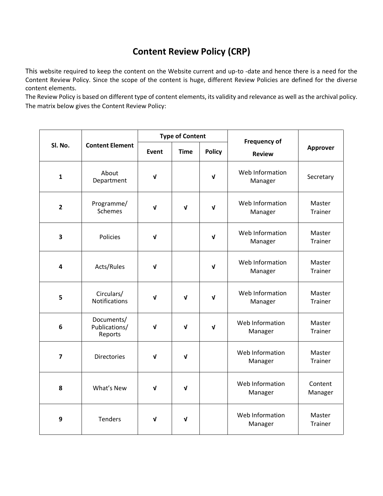## **Content Review Policy (CRP)**

This website required to keep the content on the Website current and up-to -date and hence there is a need for the Content Review Policy. Since the scope of the content is huge, different Review Policies are defined for the diverse content elements.

The Review Policy is based on different type of content elements, its validity and relevance as well as the archival policy. The matrix below gives the Content Review Policy:

| Sl. No.        | <b>Content Element</b>                 | <b>Type of Content</b> |             |               | <b>Frequency of</b>        |                    |
|----------------|----------------------------------------|------------------------|-------------|---------------|----------------------------|--------------------|
|                |                                        | Event                  | <b>Time</b> | <b>Policy</b> | <b>Review</b>              | <b>Approver</b>    |
| $\mathbf{1}$   | About<br>Department                    | $\sqrt{ }$             |             | $\mathbf{v}$  | Web Information<br>Manager | Secretary          |
| $\overline{2}$ | Programme/<br><b>Schemes</b>           | $\sqrt{ }$             | $\mathbf v$ | $\mathbf{v}$  | Web Information<br>Manager | Master<br>Trainer  |
| 3              | Policies                               | $\mathbf v$            |             | V             | Web Information<br>Manager | Master<br>Trainer  |
| 4              | Acts/Rules                             | $\sqrt{ }$             |             | $\mathbf v$   | Web Information<br>Manager | Master<br>Trainer  |
| 5              | Circulars/<br><b>Notifications</b>     | $\sqrt{ }$             | $\sqrt{ }$  | $\mathbf{v}$  | Web Information<br>Manager | Master<br>Trainer  |
| 6              | Documents/<br>Publications/<br>Reports | $\mathbf v$            | V           | $\mathbf v$   | Web Information<br>Manager | Master<br>Trainer  |
| $\overline{7}$ | <b>Directories</b>                     | $\mathbf v$            | V           |               | Web Information<br>Manager | Master<br>Trainer  |
| 8              | What's New                             | V                      | V           |               | Web Information<br>Manager | Content<br>Manager |
| 9              | <b>Tenders</b>                         | $\sqrt{ }$             | V           |               | Web Information<br>Manager | Master<br>Trainer  |